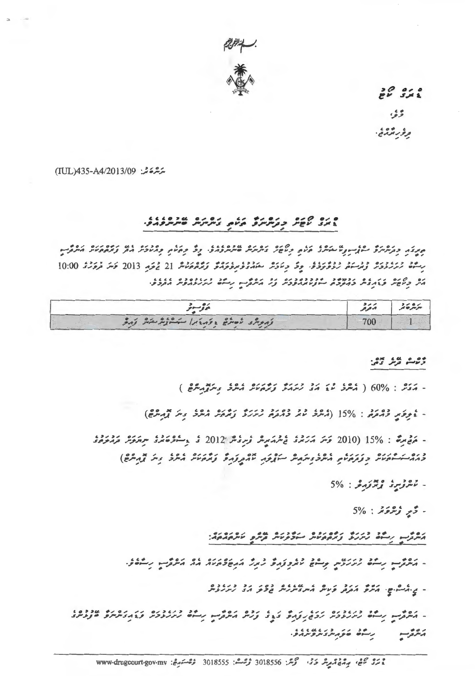

 $22.22$ وثوا

وؤربوم في.

ىترتىرىخى: TUL)435-A4/2013/09)

## 

جدفه وقرهمرة ساز الاستكرى قرام وتاعر فكرمر عرمته فالموافدة. وت وقرام ومنادر مد ومدومين مكروب رِسْمَة رُيَرَرُوْدَرْ وُيْرَسَمْ رُوْوُدَوْدْ. وِدْ دِيَادَيْرْ بِمَنْدُوْوُبِيْرُو رَبَّرْهُمْتُشْ 21 يْرَوْدِ 10:00 دَيَرَ فَرَوْرُدْ 10:00 הי קישי שלושי ברומים היוניוווופני צי היות הייל ניניוויות הבלשי

| ی و سبون                          | 2/2<br>1211                   | 2001<br>سرسر کر |
|-----------------------------------|-------------------------------|-----------------|
| ונתית: לסתם ולתואן לילת בת בת ואת | mo.<br><b>All All Andrews</b> |                 |

دره عبد ده:

- أوقير وقائمة: 15% (مُعْدَّدُ مَعْرَ وَقَائِمَةً رُسْرَةً وَقَمَّعَةً مُعْرَفً وَسَرَ قَمْ مُعْلَمَةٍ)

- مَعْ بِنُ : 15% (2010 كَسَرَ مَرْكَرْدُ فَسْرَمَيْرِسْ رُبِرْدُسْ 2012 دُ ، أَ وَصَوْمَتْرَدُ سِيَرْكَرْشْ كَرْمَرْكَرْدُ وممه كمستوناش وووكانه المرذ والرمال المورود والمعار والموالي والمحادر والمراد والمحال

 $5\%$  :  $2\pi i$   $2\pi i$ 

 $5\%$  :  $252$   $25 -$ 

ג'תור ניה לונול נוספיית בולנות קיין ויוסבפו.

- געלך נייל נונעי ניים נונונול נונ גוד הושלאול גם געלך ניילי

- ي ششو. يكس المركز وكالله شعر معرض دور دو درددوه

- مُعْرُبٍ رِسُوْ رُمُزْدُوْمٌ رَوَمُ رَوَمٌ وَيَوْ وَرُمْ مَعْرُبٍ رِسَوْ رُمُزْدُوْمٌ وَيَمْ وَمُعَمَّوٌ فَالْمُرْدَدُ געלה ניים בנועלעלול.